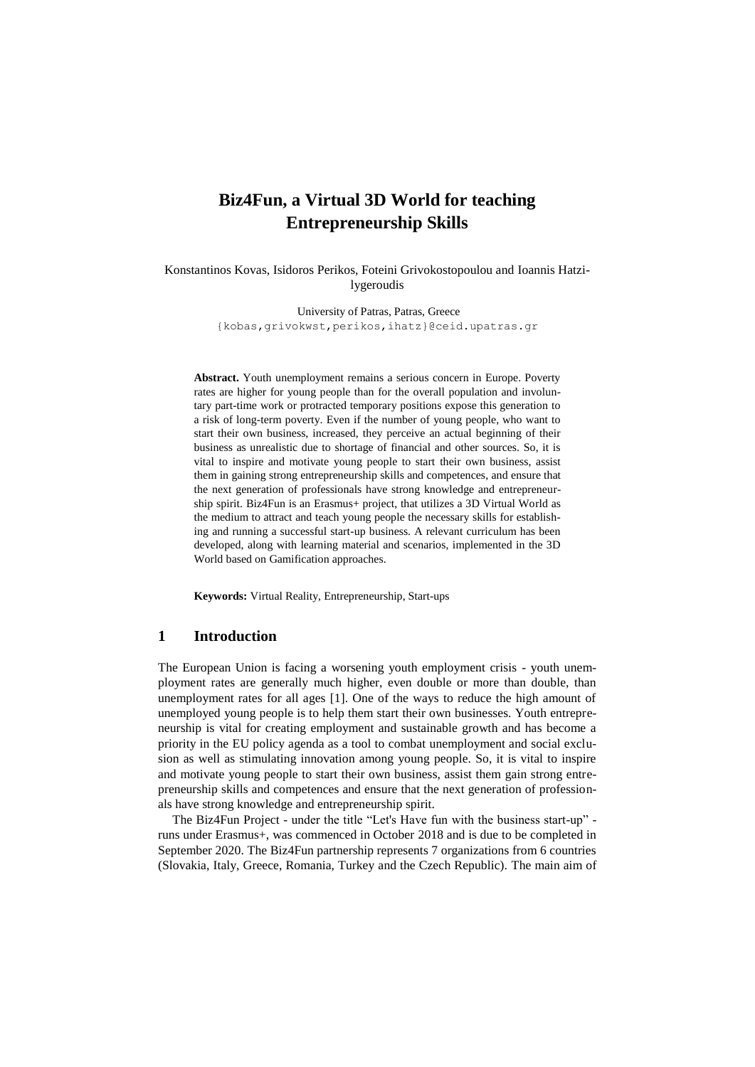# **Biz4Fun, a Virtual 3D World for teaching Entrepreneurship Skills**

Konstantinos Kovas, Isidoros Perikos, Foteini Grivokostopoulou and Ioannis Hatzilygeroudis

> University of Patras, Patras, Greece {kobas,grivokwst,perikos,ihatz}@ceid.upatras.gr

**Abstract.** Youth unemployment remains a serious concern in Europe. Poverty rates are higher for young people than for the overall population and involuntary part-time work or protracted temporary positions expose this generation to a risk of long-term poverty. Even if the number of young people, who want to start their own business, increased, they perceive an actual beginning of their business as unrealistic due to shortage of financial and other sources. So, it is vital to inspire and motivate young people to start their own business, assist them in gaining strong entrepreneurship skills and competences, and ensure that the next generation of professionals have strong knowledge and entrepreneurship spirit. Biz4Fun is an Erasmus+ project, that utilizes a 3D Virtual World as the medium to attract and teach young people the necessary skills for establishing and running a successful start-up business. A relevant curriculum has been developed, along with learning material and scenarios, implemented in the 3D World based on Gamification approaches.

**Keywords:** Virtual Reality, Entrepreneurship, Start-ups

#### **1 Introduction**

The European Union is facing a worsening youth employment crisis - youth unemployment rates are generally much higher, even double or more than double, than unemployment rates for all ages [1]. One of the ways to reduce the high amount of unemployed young people is to help them start their own businesses. Youth entrepreneurship is vital for creating employment and sustainable growth and has become a priority in the EU policy agenda as a tool to combat unemployment and social exclusion as well as stimulating innovation among young people. So, it is vital to inspire and motivate young people to start their own business, assist them gain strong entrepreneurship skills and competences and ensure that the next generation of professionals have strong knowledge and entrepreneurship spirit.

The Biz4Fun Project - under the title "Let's Have fun with the business start-up" runs under Erasmus+, was commenced in October 2018 and is due to be completed in September 2020. The Biz4Fun partnership represents 7 organizations from 6 countries (Slovakia, Italy, Greece, Romania, Turkey and the Czech Republic). The main aim of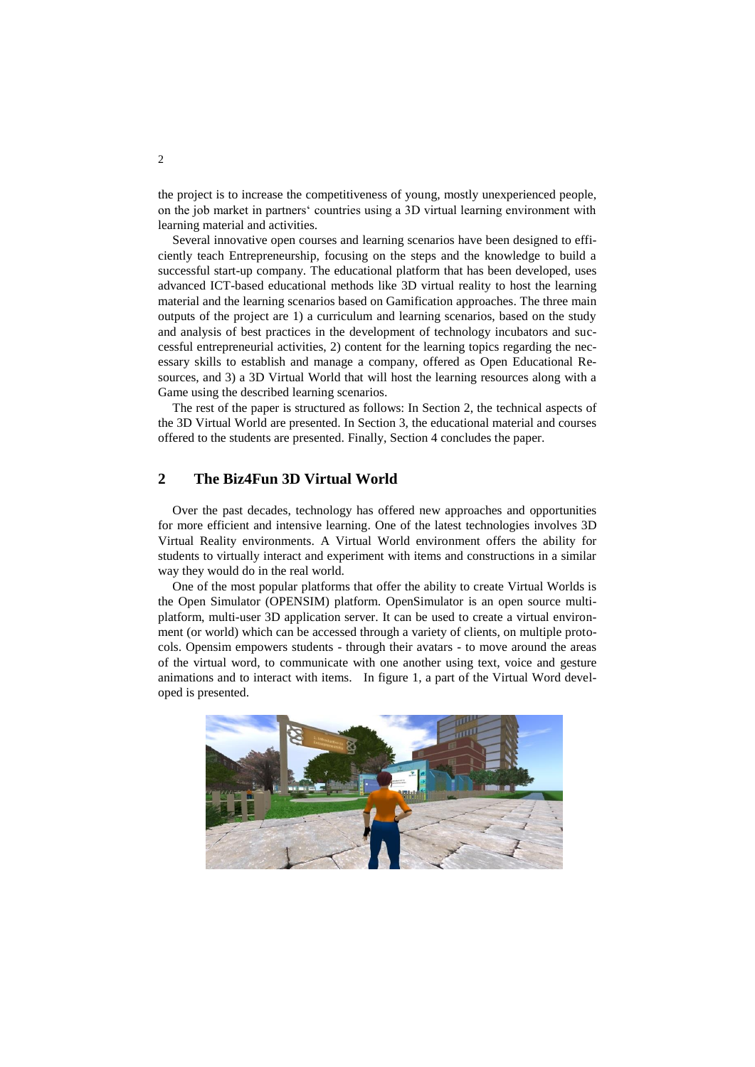the project is to increase the competitiveness of young, mostly unexperienced people, on the job market in partners' countries using a 3D virtual learning environment with learning material and activities.

Several innovative open courses and learning scenarios have been designed to efficiently teach Entrepreneurship, focusing on the steps and the knowledge to build a successful start-up company. The educational platform that has been developed, uses advanced ICT-based educational methods like 3D virtual reality to host the learning material and the learning scenarios based on Gamification approaches. The three main outputs of the project are 1) a curriculum and learning scenarios, based on the study and analysis of best practices in the development of technology incubators and successful entrepreneurial activities, 2) content for the learning topics regarding the necessary skills to establish and manage a company, offered as Open Educational Resources, and 3) a 3D Virtual World that will host the learning resources along with a Game using the described learning scenarios.

The rest of the paper is structured as follows: In Section 2, the technical aspects of the 3D Virtual World are presented. In Section 3, the educational material and courses offered to the students are presented. Finally, Section 4 concludes the paper.

## **2 The Biz4Fun 3D Virtual World**

Over the past decades, technology has offered new approaches and opportunities for more efficient and intensive learning. One of the latest technologies involves 3D Virtual Reality environments. A Virtual World environment offers the ability for students to virtually interact and experiment with items and constructions in a similar way they would do in the real world.

One of the most popular platforms that offer the ability to create Virtual Worlds is the Open Simulator (OPENSIM) platform. OpenSimulator is an open source multiplatform, multi-user 3D application server. It can be used to create a virtual environment (or world) which can be accessed through a variety of clients, on multiple protocols. Opensim empowers students - through their avatars - to move around the areas of the virtual word, to communicate with one another using text, voice and gesture animations and to interact with items. In figure 1, a part of the Virtual Word developed is presented.

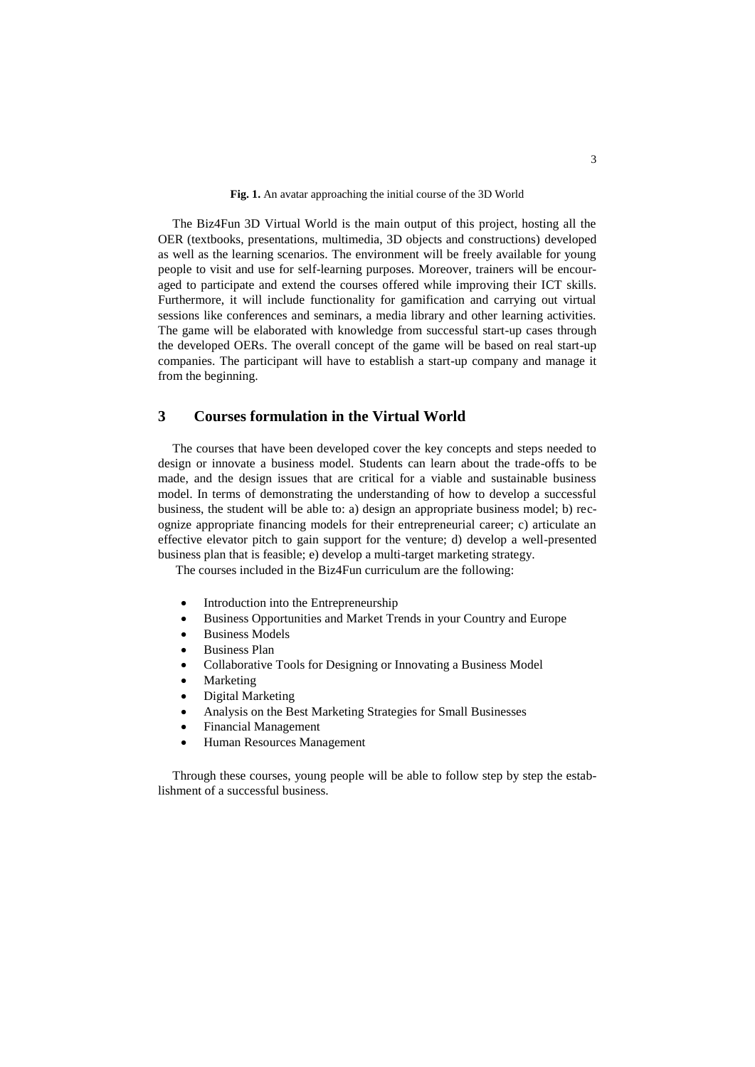The Biz4Fun 3D Virtual World is the main output of this project, hosting all the OER (textbooks, presentations, multimedia, 3D objects and constructions) developed as well as the learning scenarios. The environment will be freely available for young people to visit and use for self-learning purposes. Moreover, trainers will be encouraged to participate and extend the courses offered while improving their ICT skills. Furthermore, it will include functionality for gamification and carrying out virtual sessions like conferences and seminars, a media library and other learning activities. The game will be elaborated with knowledge from successful start-up cases through the developed OERs. The overall concept of the game will be based on real start-up companies. The participant will have to establish a start-up company and manage it from the beginning.

#### **3 Courses formulation in the Virtual World**

The courses that have been developed cover the key concepts and steps needed to design or innovate a business model. Students can learn about the trade-offs to be made, and the design issues that are critical for a viable and sustainable business model. In terms of demonstrating the understanding of how to develop a successful business, the student will be able to: a) design an appropriate business model; b) recognize appropriate financing models for their entrepreneurial career; c) articulate an effective elevator pitch to gain support for the venture; d) develop a well-presented business plan that is feasible; e) develop a multi-target marketing strategy.

The courses included in the Biz4Fun curriculum are the following:

- Introduction into the Entrepreneurship
- Business Opportunities and Market Trends in your Country and Europe
- Business Models
- Business Plan
- Collaborative Tools for Designing or Innovating a Business Model
- Marketing
- Digital Marketing
- Analysis on the Best Marketing Strategies for Small Businesses
- Financial Management
- Human Resources Management

Through these courses, young people will be able to follow step by step the establishment of a successful business.